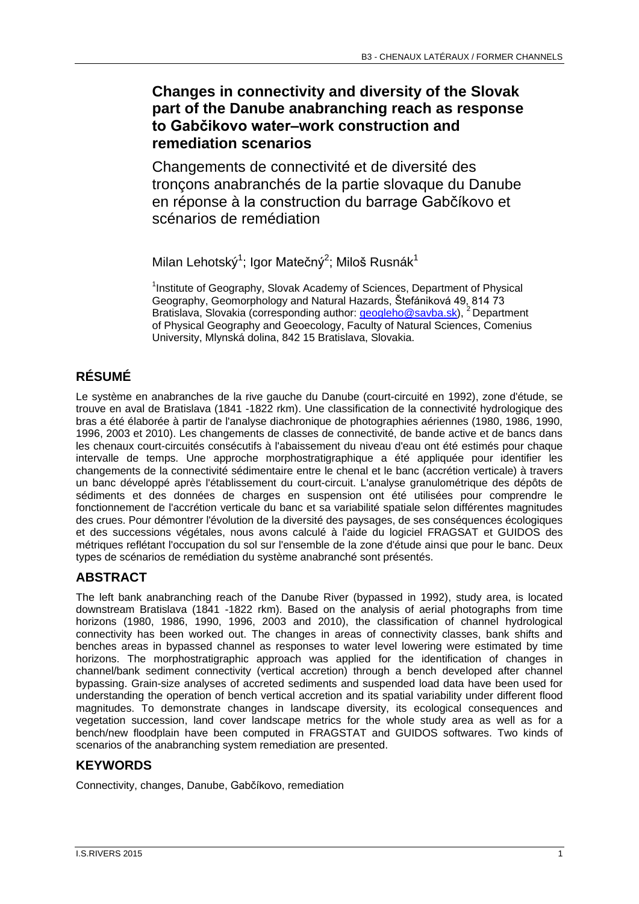## **Changes in connectivity and diversity of the Slovak part of the Danube anabranching reach as response to Gabčikovo water–work construction and remediation scenarios**

Changements de connectivité et de diversité des tronçons anabranchés de la partie slovaque du Danube en réponse à la construction du barrage Gabčíkovo et scénarios de remédiation

Milan Lehotský<sup>1</sup>; Igor Matečný<sup>2</sup>; Miloš Rusnák<sup>1</sup>

<sup>1</sup>Institute of Geography, Slovak Academy of Sciences, Department of Physical Geography, Geomorphology and Natural Hazards, Štefániková 49, 814 73 Bratislava, Slovakia (corresponding author: *geogleho@savba.sk*), <sup>2</sup> Department of Physical Geography and Geoecology, Faculty of Natural Sciences, Comenius University, Mlynská dolina, 842 15 Bratislava, Slovakia.

# **RÉSUMÉ**

Le système en anabranches de la rive gauche du Danube (court-circuité en 1992), zone d'étude, se trouve en aval de Bratislava (1841 -1822 rkm). Une classification de la connectivité hydrologique des bras a été élaborée à partir de l'analyse diachronique de photographies aériennes (1980, 1986, 1990, 1996, 2003 et 2010). Les changements de classes de connectivité, de bande active et de bancs dans les chenaux court-circuités consécutifs à l'abaissement du niveau d'eau ont été estimés pour chaque intervalle de temps. Une approche morphostratigraphique a été appliquée pour identifier les changements de la connectivité sédimentaire entre le chenal et le banc (accrétion verticale) à travers un banc développé après l'établissement du court-circuit. L'analyse granulométrique des dépôts de sédiments et des données de charges en suspension ont été utilisées pour comprendre le fonctionnement de l'accrétion verticale du banc et sa variabilité spatiale selon différentes magnitudes des crues. Pour démontrer l'évolution de la diversité des paysages, de ses conséquences écologiques et des successions végétales, nous avons calculé à l'aide du logiciel FRAGSAT et GUIDOS des métriques reflétant l'occupation du sol sur l'ensemble de la zone d'étude ainsi que pour le banc. Deux types de scénarios de remédiation du système anabranché sont présentés.

## **ABSTRACT**

The left bank anabranching reach of the Danube River (bypassed in 1992), study area, is located downstream Bratislava (1841 -1822 rkm). Based on the analysis of aerial photographs from time horizons (1980, 1986, 1990, 1996, 2003 and 2010), the classification of channel hydrological connectivity has been worked out. The changes in areas of connectivity classes, bank shifts and benches areas in bypassed channel as responses to water level lowering were estimated by time horizons. The morphostratigraphic approach was applied for the identification of changes in channel/bank sediment connectivity (vertical accretion) through a bench developed after channel bypassing. Grain-size analyses of accreted sediments and suspended load data have been used for understanding the operation of bench vertical accretion and its spatial variability under different flood magnitudes. To demonstrate changes in landscape diversity, its ecological consequences and vegetation succession, land cover landscape metrics for the whole study area as well as for a bench/new floodplain have been computed in FRAGSTAT and GUIDOS softwares. Two kinds of scenarios of the anabranching system remediation are presented.

### **KEYWORDS**

Connectivity, changes, Danube, Gabčíkovo, remediation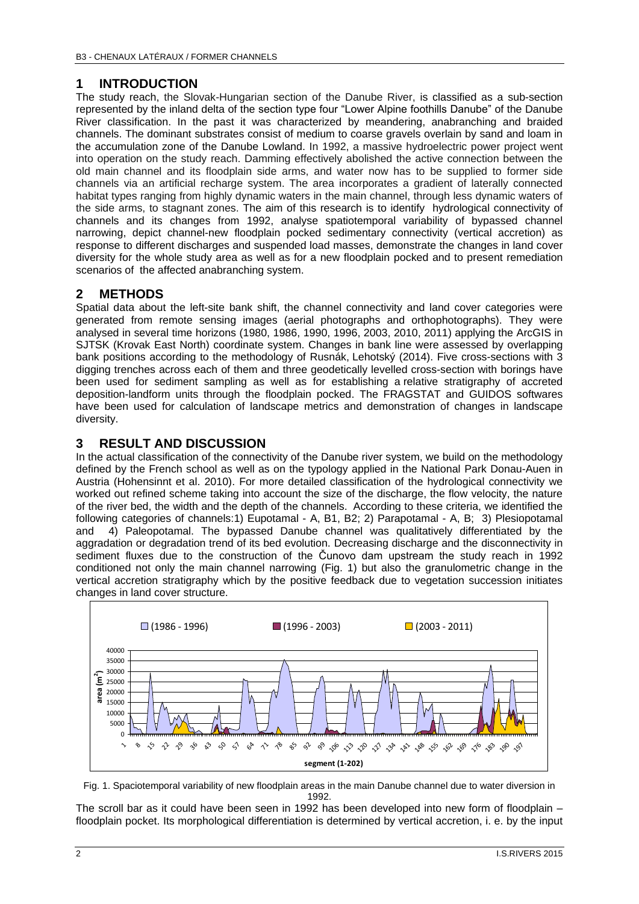#### **1 INTRODUCTION**

The study reach, the Slovak-Hungarian section of the Danube River, is classified as a sub-section represented by the inland delta of the section type four "Lower Alpine foothills Danube" of the Danube River classification. In the past it was characterized by meandering, anabranching and braided channels. The dominant substrates consist of medium to coarse gravels overlain by sand and loam in the accumulation zone of the Danube Lowland. In 1992, a massive hydroelectric power project went into operation on the study reach. Damming effectively abolished the active connection between the old main channel and its floodplain side arms, and water now has to be supplied to former side channels via an artificial recharge system. The area incorporates a gradient of laterally connected habitat types ranging from highly dynamic waters in the main channel, through less dynamic waters of the side arms, to stagnant zones. The aim of this research is to identify hydrological connectivity of channels and its changes from 1992, analyse spatiotemporal variability of bypassed channel narrowing, depict channel-new floodplain pocked sedimentary connectivity (vertical accretion) as response to different discharges and suspended load masses, demonstrate the changes in land cover diversity for the whole study area as well as for a new floodplain pocked and to present remediation scenarios of the affected anabranching system.

#### **2 METHODS**

Spatial data about the left-site bank shift, the channel connectivity and land cover categories were generated from remote sensing images (aerial photographs and orthophotographs). They were analysed in several time horizons (1980, 1986, 1990, 1996, 2003, 2010, 2011) applying the ArcGIS in SJTSK (Krovak East North) coordinate system. Changes in bank line were assessed by overlapping bank positions according to the methodology of Rusnák, Lehotský (2014). Five cross-sections with 3 digging trenches across each of them and three geodetically levelled cross-section with borings have been used for sediment sampling as well as for establishing a relative stratigraphy of accreted deposition-landform units through the floodplain pocked. The FRAGSTAT and GUIDOS softwares have been used for calculation of landscape metrics and demonstration of changes in landscape diversity.

#### **3 RESULT AND DISCUSSION**

In the actual classification of the connectivity of the Danube river system, we build on the methodology defined by the French school as well as on the typology applied in the National Park Donau-Auen in Austria (Hohensinnt et al. 2010). For more detailed classification of the hydrological connectivity we worked out refined scheme taking into account the size of the discharge, the flow velocity, the nature of the river bed, the width and the depth of the channels. According to these criteria, we identified the following categories of channels:1) Eupotamal - A, B1, B2; 2) Parapotamal - A, B; 3) Plesiopotamal and 4) Paleopotamal. The bypassed Danube channel was qualitatively differentiated by the aggradation or degradation trend of its bed evolution. Decreasing discharge and the disconnectivity in sediment fluxes due to the construction of the Čunovo dam upstream the study reach in 1992 conditioned not only the main channel narrowing (Fig. 1) but also the granulometric change in the vertical accretion stratigraphy which by the positive feedback due to vegetation succession initiates changes in land cover structure.



Fig. 1. Spaciotemporal variability of new floodplain areas in the main Danube channel due to water diversion in 1992.

The scroll bar as it could have been seen in 1992 has been developed into new form of floodplain – floodplain pocket. Its morphological differentiation is determined by vertical accretion, i. e. by the input